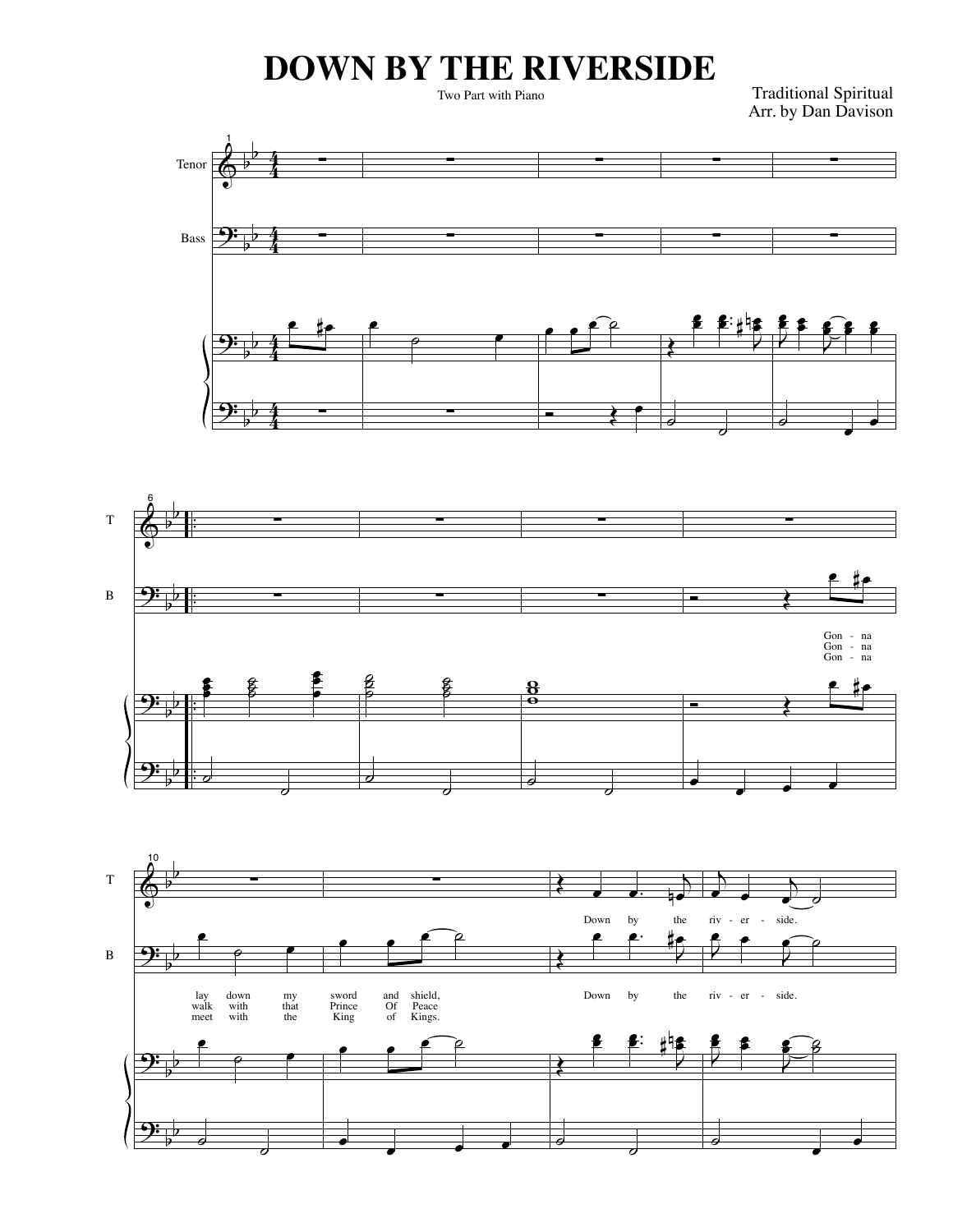## **DOWN BY THE RIVERSIDE**

Two Part with Piano

Traditional Spiritual Arr. by Dan Davison





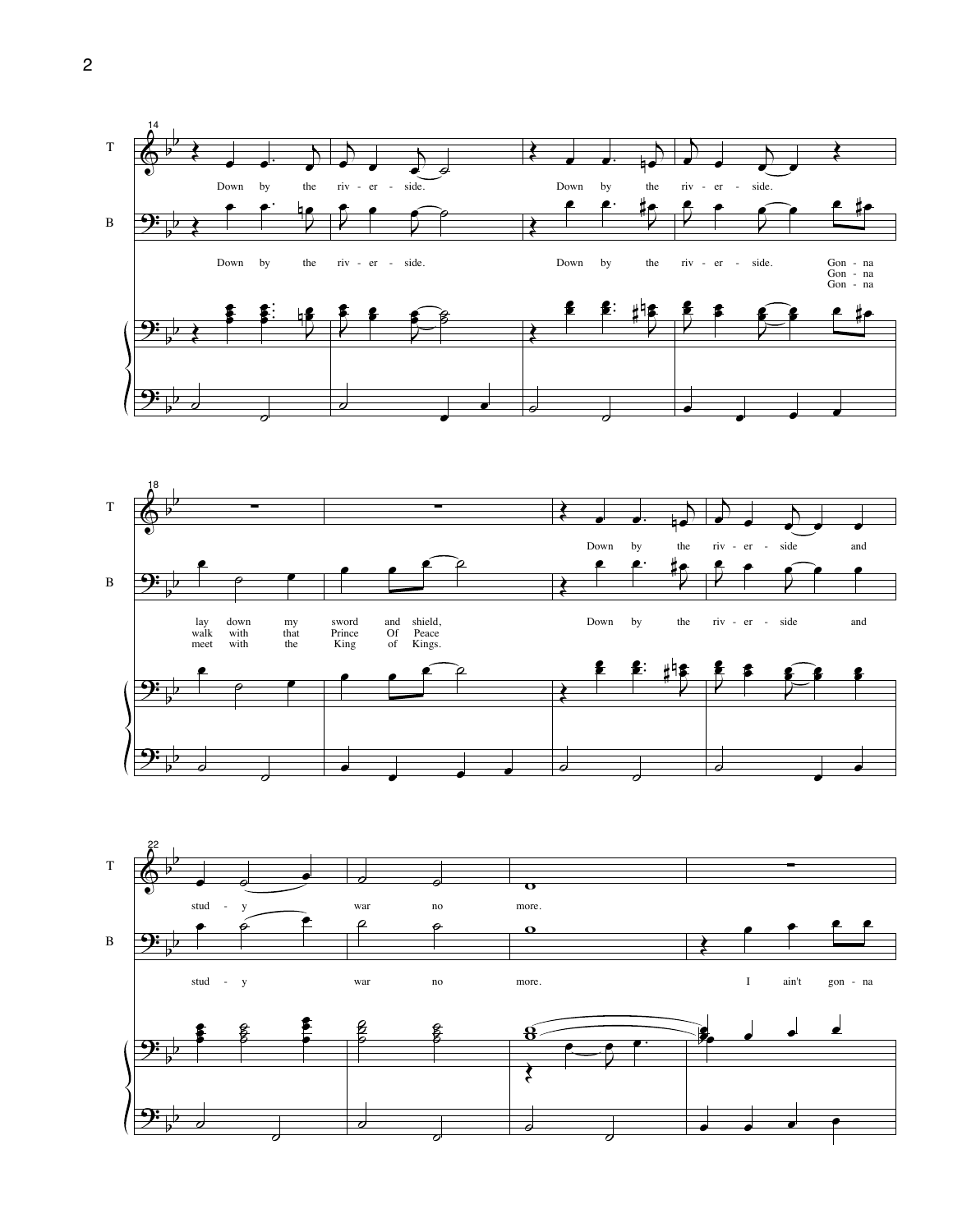



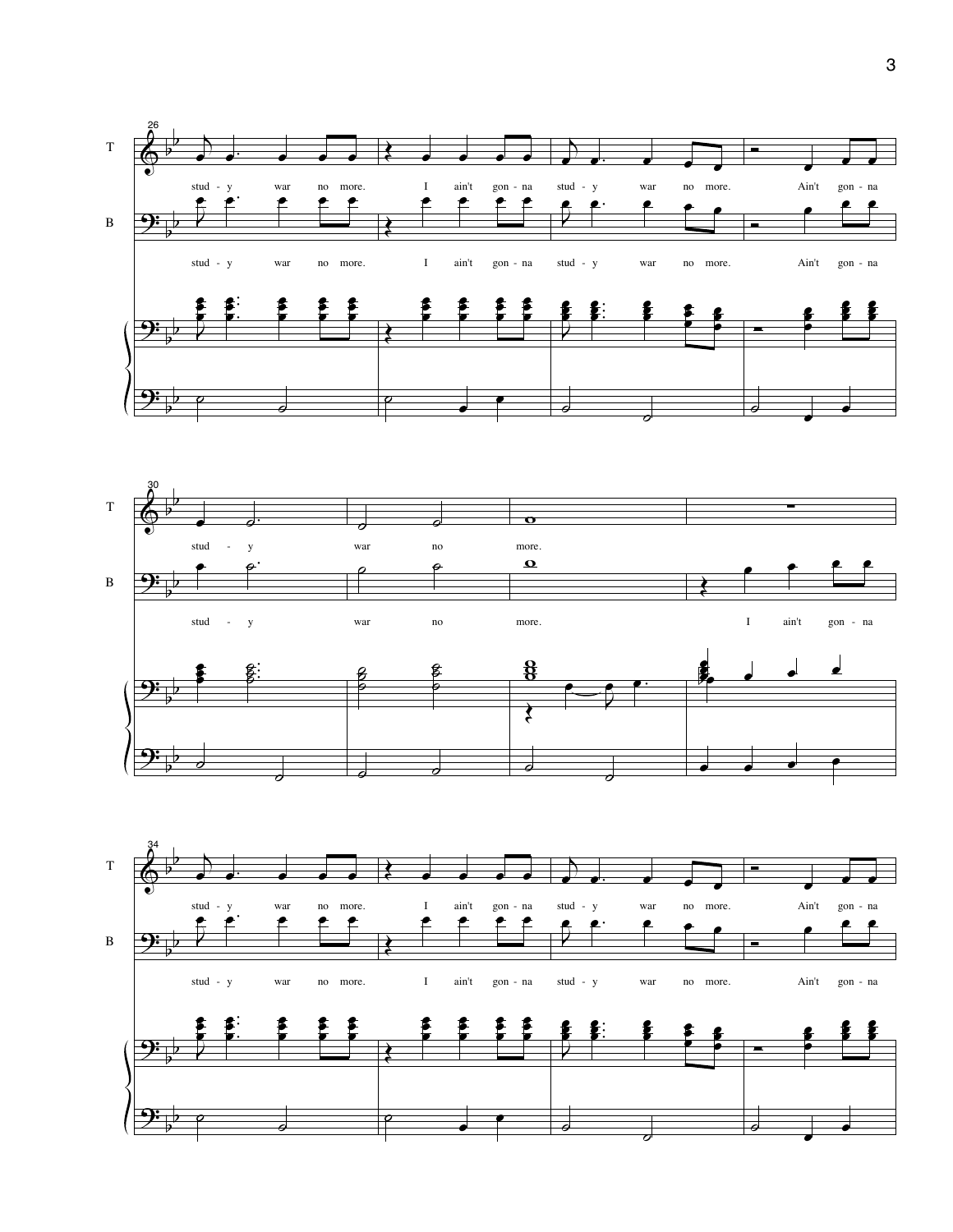